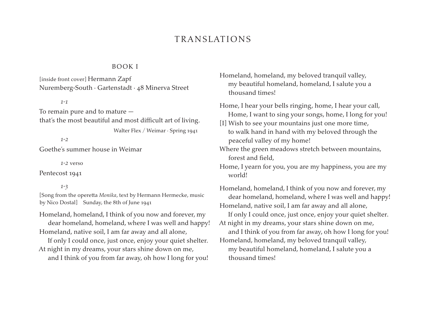# **TRANSLATIONS**

### BOOK I

[inside front cover] Hermann Zapf Nuremberg-South · Gartenstadt · 48 Minerva Street

#### *1-1*

To remain pure and to mature that's the most beautiful and most difficult art of living.

Walter Flex / Weimar · Spring 1941

*1-2*

Goethe's summer house in Weimar

*1-2* verso

Pentecost 1941

*1-3* 

[Song from the operetta *Monika*, text by Hermann Hermecke, music by Nico Dostal] Sunday, the 8th of June 1941

Homeland, homeland, I think of you now and forever, my dear homeland, homeland, where I was well and happy! Homeland, native soil, I am far away and all alone,

If only I could once, just once, enjoy your quiet shelter. At night in my dreams, your stars shine down on me,

and I think of you from far away, oh how I long for you!

Homeland, homeland, my beloved tranquil valley, my beautiful homeland, homeland, I salute you a thousand times!

Home, I hear your bells ringing, home, I hear your call, Home, I want to sing your songs, home, I long for you!

[I] Wish to see your mountains just one more time, to walk hand in hand with my beloved through the peaceful valley of my home!

Where the green meadows stretch between mountains, forest and field,

Home, I yearn for you, you are my happiness, you are my world!

Homeland, homeland, I think of you now and forever, my dear homeland, homeland, where I was well and happy! Homeland, native soil, I am far away and all alone, If only I could once, just once, enjoy your quiet shelter. At night in my dreams, your stars shine down on me, and I think of you from far away, oh how I long for you! Homeland, homeland, my beloved tranquil valley, my beautiful homeland, homeland, I salute you a thousand times!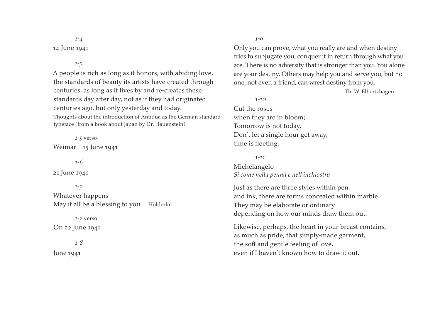*1-4* 14 June 1941

*1-5*

A people is rich as long as it honors, with abiding love, the standards of beauty its artists have created through centuries, as long as it lives by and re-creates these standards day after day, not as if they had originated centuries ago, but only yesterday and today. Thoughts about the introduction of Antiqua as the German standard typeface (from a book about Japan by Dr. Hauenstein)

*1-5* verso Weimar 15 June 1941

*1-6*

21 June 1941

*1-7* Whatever happens May it all be a blessing to you. Hölderlin

*1-7* verso On 22 June 1941

*1-8* June 1941

*1-9*

Only you can prove, what you really are and when destiny tries to subjugate you, conquer it in return through what you are. There is no adversity that is stronger than you. You alone are your destiny. Others may help you and serve you, but no one, not even a friend, can wrest destiny from you.

Th. W. Elbertzhagen

Cut the roses

*1-10*

when they are in bloom; Tomorrow is not today. Don't let a single hour get away, time is fleeting.

*1-11*

Michelangelo *Si come nella penna e nell'inchiostro*

Just as there are three styles within pen and ink, there are forms concealed within marble. They may be elaborate or ordinary depending on how our minds draw them out.

Likewise, perhaps, the heart in your breast contains, as much as pride, that simply-made garment, the soft and gentle feeling of love, even if I haven't known how to draw it out.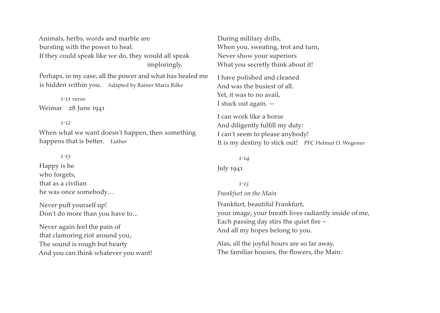Animals, herbs, words and marble are bursting with the power to heal. If they could speak like we do, they would all speak imploringly.

Perhaps, in my case, all the power and what has healed me is hidden within you. Adapted by Rainer Maria Rilke

*1-11* verso

Weimar 28 June 1941

#### *1-12*

When what we want doesn't happen, then something happens that is better. Luther

#### *1-13*

Happy is he who forgets, that as a civilian he was once somebody…

Never puff yourself up! Don't do more than you have to...

Never again feel the pain of that clamoring riot around you, The sound is rough but hearty And you can think whatever you want! During military drills, When you, sweating, trot and turn, Never show your superiors What you secretly think about it!

I have polished and cleaned And was the busiest of all. Yet, it was to no avail, I stuck out again. —

I can work like a horse And diligently fulfill my duty: I can't seem to please anybody! It is my destiny to stick out! PFC Helmut O. Wegener

*1-14* July 1941

*1-15 Frankfurt on the Main* Frankfurt, beautiful Frankfurt, your image, your breath lives radiantly inside of me, Each passing day stirs the quiet fire – And all my hopes belong to you.

Alas, all the joyful hours are so far away, The familiar houses, the flowers, the Main: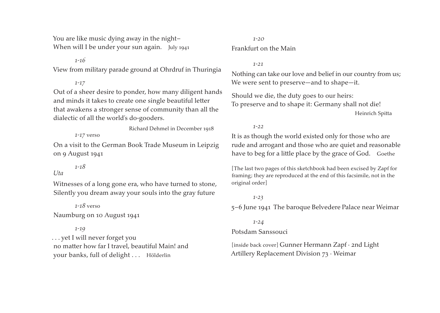You are like music dying away in the night– When will I be under your sun again. July 1941

*1-16*

View from military parade ground at Ohrdruf in Thuringia

*1-17*

Out of a sheer desire to ponder, how many diligent hands and minds it takes to create one single beautiful letter that awakens a stronger sense of community than all the dialectic of all the world's do-gooders.

Richard Dehmel in December 1918

*1-17* verso

On a visit to the German Book Trade Museum in Leipzig on 9 August 1941

*1-18*

## *Uta*

Witnesses of a long gone era, who have turned to stone, Silently you dream away your souls into the gray future

*1-18* verso Naumburg on 10 August 1941

*1-19* . . . yet I will never forget you no matter how far I travel, beautiful Main! and your banks, full of delight . . . Hölderlin

## *1-20* Frankfurt on the Main

*1-21*

Nothing can take our love and belief in our country from us; We were sent to preserve—and to shape—it.

Should we die, the duty goes to our heirs: To preserve and to shape it: Germany shall not die! Heinrich Spitta

*1-22*

It is as though the world existed only for those who are rude and arrogant and those who are quiet and reasonable have to beg for a little place by the grace of God. Goethe

[The last two pages of this sketchbook had been excised by Zapf for framing; they are reproduced at the end of this facsimile, not in the original order]

*1-23*

5–6 June 1941 The baroque Belvedere Palace near Weimar

*1-24*

Potsdam Sanssouci

[inside back cover] Gunner Hermann Zapf · 2nd Light Artillery Replacement Division 73 · Weimar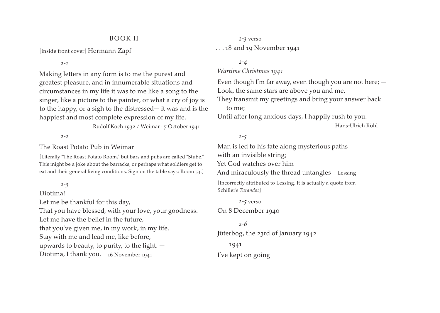### BOOK II

[inside front cover] Hermann Zapf

*2-1*

Making letters in any form is to me the purest and greatest pleasure, and in innumerable situations and circumstances in my life it was to me like a song to the singer, like a picture to the painter, or what a cry of joy is to the happy, or a sigh to the distressed— it was and is the happiest and most complete expression of my life.

Rudolf Koch 1932 / Weimar · 7 October 1941

#### *2-2*

### The Roast Potato Pub in Weimar

[Literally "The Roast Potato Room," but bars and pubs are called "Stube." This might be a joke about the barracks, or perhaps what soldiers get to eat and their general living conditions. Sign on the table says: Room 53.]

### *2-3*

### Diotima!

Let me be thankful for this day,

That you have blessed, with your love, your goodness.

Let me have the belief in the future,

that you've given me, in my work, in my life.

Stay with me and lead me, like before,

upwards to beauty, to purity, to the light. —

Diotima, I thank you. 16 November 1941

## *2-3* verso . . . 18 and 19 November 1941

### *2-4*

### *Wartime Christmas 1941*

Even though I'm far away, even though you are not here; — Look, the same stars are above you and me. They transmit my greetings and bring your answer back to me; Until after long anxious days, I happily rush to you.

Hans-Ulrich Röhl

## *2-5*

Man is led to his fate along mysterious paths with an invisible string; Yet God watches over him And miraculously the thread untangles Lessing

[Incorrectly attributed to Lessing. It is actually a quote from Schiller's *Turandot*]

*2-5* verso On 8 December 1940

*2-6* Jüterbog, the 23rd of January 1942 1941

I've kept on going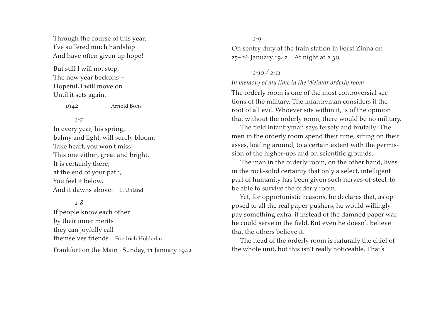Through the course of this year, I've suffered much hardship And have often given up hope!

But still I will not stop, The new year beckons – Hopeful, I will move on Until it sets again.

1942 Arnold Bohs

*2-7*

In every year, his spring, balmy and light, will surely bloom, Take heart, you won't miss This one either, great and bright. It is certainly there, at the end of your path, You feel it below, And it dawns above. L. Uhland

*2-8*

If people know each other by their inner merits they can joyfully call themselves friends Friedrich Hölderlin

### Frankfurt on the Main · Sunday, 11 January 1942

*2-9*

On sentry duty at the train station in Forst Zinna on 25–26 January 1942 At night at 2.30

## *2-10 / 2-11*

### *In memory of my time in the Weimar orderly room*

The orderly room is one of the most controversial sections of the military. The infantryman considers it the root of all evil. Whoever sits within it, is of the opinion that without the orderly room, there would be no military.

The field infantryman says tersely and brutally: The men in the orderly room spend their time, sitting on their asses, loafing around, to a certain extent with the permission of the higher-ups and on scientific grounds.

The man in the orderly room, on the other hand, lives in the rock-solid certainty that only a select, intelligent part of humanity has been given such nerves-of-steel, to be able to survive the orderly room.

Yet, for opportunistic reasons, he declares that, as opposed to all the real paper-pushers, he would willingly pay something extra, if instead of the damned paper war, he could serve in the field. But even he doesn't believe that the others believe it.

The head of the orderly room is naturally the chief of the whole unit, but this isn't really noticeable. That's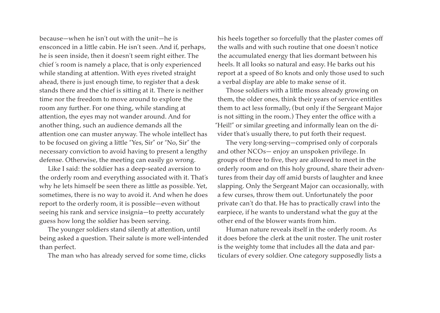because—when he isn't out with the unit—he is ensconced in a little cabin. He isn't seen. And if, perhaps, he is seen inside, then it doesn't seem right either. The chief 's room is namely a place, that is only experienced while standing at attention. With eyes riveted straight ahead, there is just enough time, to register that a desk stands there and the chief is sitting at it. There is neither time nor the freedom to move around to explore the room any further. For one thing, while standing at attention, the eyes may not wander around. And for another thing, such an audience demands all the attention one can muster anyway. The whole intellect has to be focused on giving a little "Yes, Sir" or "No, Sir" the necessary conviction to avoid having to present a lengthy defense. Otherwise, the meeting can easily go wrong.

Like I said: the soldier has a deep-seated aversion to the orderly room and everything associated with it. That's why he lets himself be seen there as little as possible. Yet, sometimes, there is no way to avoid it. And when he does report to the orderly room, it is possible—even without seeing his rank and service insignia—to pretty accurately guess how long the soldier has been serving.

The younger soldiers stand silently at attention, until being asked a question. Their salute is more well-intended than perfect.

The man who has already served for some time, clicks

his heels together so forcefully that the plaster comes off the walls and with such routine that one doesn't notice the accumulated energy that lies dormant between his heels. It all looks so natural and easy. He barks out his report at a speed of 80 knots and only those used to such a verbal display are able to make sense of it.

Those soldiers with a little moss already growing on them, the older ones, think their years of service entitles them to act less formally, (but only if the Sergeant Major is not sitting in the room.) They enter the office with a "Heil!" or similar greeting and informally lean on the divider that's usually there, to put forth their request.

The very long-serving—comprised only of corporals and other NCOs— enjoy an unspoken privilege. In groups of three to five, they are allowed to meet in the orderly room and on this holy ground, share their adventures from their day off amid bursts of laughter and knee slapping. Only the Sergeant Major can occasionally, with a few curses, throw them out. Unfortunately the poor private can't do that. He has to practically crawl into the earpiece, if he wants to understand what the guy at the other end of the blower wants from him.

Human nature reveals itself in the orderly room. As it does before the clerk at the unit roster. The unit roster is the weighty tome that includes all the data and particulars of every soldier. One category supposedly lists a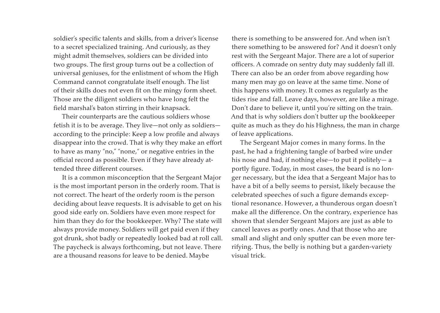soldier's specific talents and skills, from a driver's license to a secret specialized training. And curiously, as they might admit themselves, soldiers can be divided into two groups. The first group turns out be a collection of universal geniuses, for the enlistment of whom the High Command cannot congratulate itself enough. The list of their skills does not even fit on the mingy form sheet. Those are the diligent soldiers who have long felt the field marshal's baton stirring in their knapsack.

Their counterparts are the cautious soldiers whose fetish it is to be average. They live—not only as soldiers according to the principle: Keep a low profile and always disappear into the crowd. That is why they make an effort to have as many "no," "none," or negative entries in the official record as possible. Even if they have already attended three different courses.

It is a common misconception that the Sergeant Major is the most important person in the orderly room. That is not correct. The heart of the orderly room is the person deciding about leave requests. It is advisable to get on his good side early on. Soldiers have even more respect for him than they do for the bookkeeper. Why? The state will always provide money. Soldiers will get paid even if they got drunk, shot badly or repeatedly looked bad at roll call. The paycheck is always forthcoming, but not leave. There are a thousand reasons for leave to be denied. Maybe

there is something to be answered for. And when isn't there something to be answered for? And it doesn't only rest with the Sergeant Major. There are a lot of superior officers. A comrade on sentry duty may suddenly fall ill. There can also be an order from above regarding how many men may go on leave at the same time. None of this happens with money. It comes as regularly as the tides rise and fall. Leave days, however, are like a mirage. Don't dare to believe it, until you're sitting on the train. And that is why soldiers don't butter up the bookkeeper quite as much as they do his Highness, the man in charge of leave applications.

The Sergeant Major comes in many forms. In the past, he had a frightening tangle of barbed wire under his nose and had, if nothing else—to put it politely— a portly figure. Today, in most cases, the beard is no longer necessary, but the idea that a Sergeant Major has to have a bit of a belly seems to persist, likely because the celebrated speeches of such a figure demands exceptional resonance. However, a thunderous organ doesn't make all the difference. On the contrary, experience has shown that slender Sergeant Majors are just as able to cancel leaves as portly ones. And that those who are small and slight and only sputter can be even more terrifying. Thus, the belly is nothing but a garden-variety visual trick.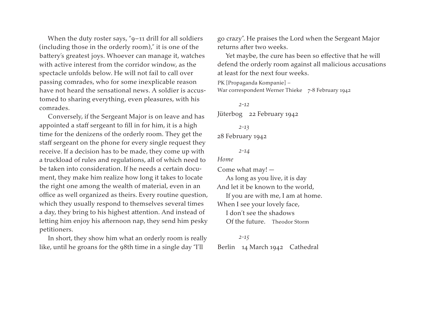When the duty roster says, "9–11 drill for all soldiers (including those in the orderly room)," it is one of the battery's greatest joys. Whoever can manage it, watches with active interest from the corridor window, as the spectacle unfolds below. He will not fail to call over passing comrades, who for some inexplicable reason have not heard the sensational news. A soldier is accustomed to sharing everything, even pleasures, with his comrades.

Conversely, if the Sergeant Major is on leave and has appointed a staff sergeant to fill in for him, it is a high time for the denizens of the orderly room. They get the staff sergeant on the phone for every single request they receive. If a decision has to be made, they come up with a truckload of rules and regulations, all of which need to be taken into consideration. If he needs a certain document, they make him realize how long it takes to locate the right one among the wealth of material, even in an office as well organized as theirs. Every routine question, which they usually respond to themselves several times a day, they bring to his highest attention. And instead of letting him enjoy his afternoon nap, they send him pesky petitioners.

In short, they show him what an orderly room is really like, until he groans for the 98th time in a single day "I'll

go crazy". He praises the Lord when the Sergeant Major returns after two weeks.

Yet maybe, the cure has been so effective that he will defend the orderly room against all malicious accusations at least for the next four weeks.

```
PK [Propaganda Kompanie] – 
War correspondent Werner Thieke 7-8 February 1942
```
*2-12* Jüterbog 22 February 1942 *2-13*

```
28 February 1942
```

```
2-14
```

```
Home
```
Come what may! — As long as you live, it is day And let it be known to the world, If you are with me, I am at home. When I see your lovely face, I don't see the shadows Of the future. Theodor Storm

*2-15* Berlin 14 March 1942 Cathedral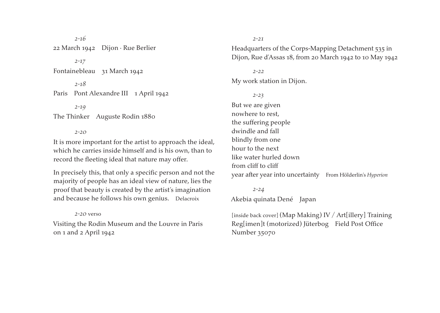*2-16* 22 March 1942 Dijon · Rue Berlier

*2-17*

Fontainebleau 31 March 1942

*2-18* Paris Pont Alexandre III 1 April 1942

*2-19*

The Thinker Auguste Rodin 1880

*2-20*

It is more important for the artist to approach the ideal, which he carries inside himself and is his own, than to record the fleeting ideal that nature may offer.

In precisely this, that only a specific person and not the majority of people has an ideal view of nature, lies the proof that beauty is created by the artist's imagination and because he follows his own genius. Delacroix

#### *2-20* verso

Visiting the Rodin Museum and the Louvre in Paris on 1 and 2 April 1942

*2-21*

Headquarters of the Corps-Mapping Detachment 535 in Dijon, Rue d'Assas 18, from 20 March 1942 to 10 May 1942

#### *2-22*

My work station in Dijon.

*2-23* But we are given nowhere to rest, the suffering people dwindle and fall blindly from one hour to the next like water hurled down from cliff to cliff year after year into uncertainty From Hölderlin's *Hyperion*

*2-24* Akebia quinata Dené Japan

[inside back cover] (Map Making) IV / Art[illery] Training Reg[imen]t (motorized) Jüterbog Field Post Office Number 35070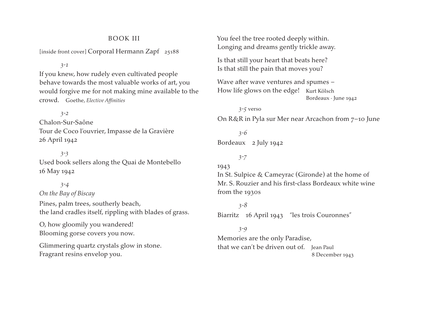### BOOK III

[inside front cover] Corporal Hermann Zapf 25188

#### *3-1*

If you knew, how rudely even cultivated people behave towards the most valuable works of art, you would forgive me for not making mine available to the crowd. Goethe, *Elective Affinities*

*3-2* Chalon-Sur-Saône Tour de Coco l'ouvrier, Impasse de la Gravière 26 April 1942

*3-3* Used book sellers along the Quai de Montebello 16 May 1942

*3-4 On the Bay of Biscay* Pines, palm trees, southerly beach, the land cradles itself, rippling with blades of grass.

O, how gloomily you wandered! Blooming gorse covers you now.

Glimmering quartz crystals glow in stone. Fragrant resins envelop you.

You feel the tree rooted deeply within. Longing and dreams gently trickle away.

Is that still your heart that beats here? Is that still the pain that moves you?

Wave after wave ventures and spumes – How life glows on the edge! Kurt Kölsch Bordeaux · June 1942

*3-5* verso On R&R in Pyla sur Mer near Arcachon from 7–10 June

*3-6* Bordeaux 2 July 1942

## *3-7*

1943 In St. Sulpice & Cameyrac (Gironde) at the home of Mr. S. Rouzier and his first-class Bordeaux white wine from the 1930s

*3-8* Biarritz 16 April 1943 "les trois Couronnes"

*3-9* Memories are the only Paradise, that we can't be driven out of. Jean Paul 8 December 1943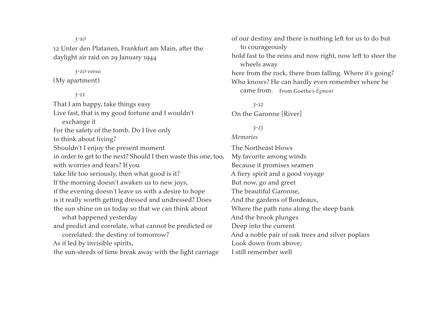12 Unter den Platanen, Frankfurt am Main, after the daylight air raid on 29 January 1944

#### *3-10* verso

*3-10*

(My apartment)

#### *3-11*

That I am happy, take things easy Live fast, that is my good fortune and I wouldn't exchange it For the safety of the tomb. Do I live only to think about living? Shouldn't I enjoy the present moment in order to get to the next? Should I then waste this one, too, with worries and fears? If you take life too seriously, then what good is it? If the morning doesn't awaken us to new joys, if the evening doesn't leave us with a desire to hope is it really worth getting dressed and undressed? Does the sun shine on us today so that we can think about what happened yesterday and predict and correlate, what cannot be predicted or correlated: the destiny of tomorrow? As if led by invisible spirits, the sun-steeds of time break away with the light carriage

of our destiny and there is nothing left for us to do but to courageously hold fast to the reins and now right, now left to steer the wheels away here from the rock, there from falling. Where it's going? Who knows? He can hardly even remember where he came from. From Goethe's *Egmont*

*3-12* On the Garonne [River]

## *3-13*

### *Memories*

The Northeast blows My favorite among winds Because it promises seamen A fiery spirit and a good voyage But now, go and greet The beautiful Garonne, And the gardens of Bordeaux, where the path runs along the steep bank And the brook plunges Deep into the current And a noble pair of oak trees and silver poplars Look down from above: I still remember well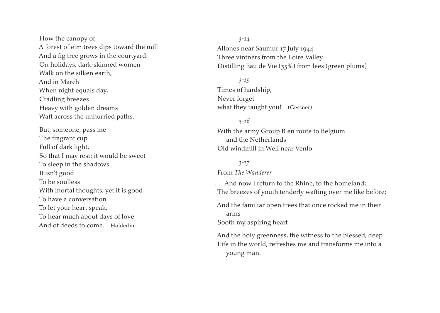How the canopy of A forest of elm trees dips toward the mill And a fig tree grows in the courtyard. On holidays, dark-skinned women Walk on the silken earth, And in March when night equals day, cradling breezes heavy with golden dreams waft across the unhurried paths.

But, someone, pass me The fragrant cup Full of dark light, so that I may rest; it would be sweet To sleep in the shadows. It isn't good To be soulless With mortal thoughts, yet it is good To have a conversation To let your heart speak, To hear much about days of love And of deeds to come. Hölderlin

*3-14* Allones near Saumur 17 July 1944 Three vintners from the Loire Valley Distilling Eau de Vie (55%) from lees (green plums)

*3-15* Times of hardship, Never forget what they taught you! (Gessner)

young man.

*3-16* With the army Group B en route to Belgium and the Netherlands Old windmill in Well near Venlo

*3-17* From *The Wanderer* …. And now I return to the Rhine, to the homeland; The breezes of youth tenderly wafting over me like before; And the familiar open trees that once rocked me in their arms Sooth my aspiring heart And the holy greenness, the witness to the blessed, deep Life in the world, refreshes me and transforms me into a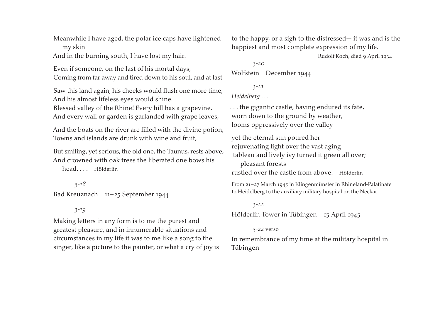Meanwhile I have aged, the polar ice caps have lightened my skin

And in the burning south, I have lost my hair.

Even if someone, on the last of his mortal days, Coming from far away and tired down to his soul, and at last

Saw this land again, his cheeks would flush one more time, And his almost lifeless eyes would shine.

Blessed valley of the Rhine! Every hill has a grapevine, And every wall or garden is garlanded with grape leaves,

And the boats on the river are filled with the divine potion, Towns and islands are drunk with wine and fruit,

But smiling, yet serious, the old one, the Taunus, rests above, And crowned with oak trees the liberated one bows his

head. . . . Hölderlin

*3-18* Bad Kreuznach 11–25 September 1944

## *3-19*

Making letters in any form is to me the purest and greatest pleasure, and in innumerable situations and circumstances in my life it was to me like a song to the singer, like a picture to the painter, or what a cry of joy is to the happy, or a sigh to the distressed— it was and is the happiest and most complete expression of my life.

Rudolf Koch, died 9 April 1934

*3-20* Wolfstein December 1944

# *3-21 Heidelberg . . .*

. . . the gigantic castle, having endured its fate, worn down to the ground by weather, looms oppressively over the valley

yet the eternal sun poured her rejuvenating light over the vast aging tableau and lively ivy turned it green all over; pleasant forests rustled over the castle from above. Hölderlin

From 21–27 March 1945 in Klingenmünster in Rhineland-Palatinate to Heidelberg to the auxiliary military hospital on the Neckar

#### *3-22*

Hölderlin Tower in Tübingen 15 April 1945

#### *3-22* verso

In remembrance of my time at the military hospital in Tübingen